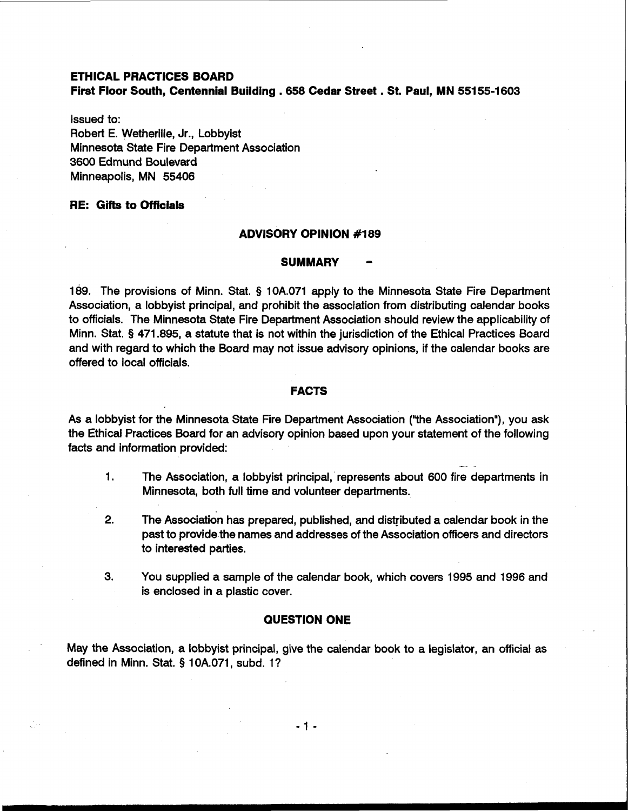# **ETHICAL PRACTICES BOARD**

**First Floor South, Centennial Building** . **<sup>658</sup>Cedar Street** . **St. Paul, MN 55155-1603** 

Issued to: Robert E. Wetherille, Jr., Lobbyist Minnesota State Fire Department Association 3600 Edmund Boulevard Minneapolis, MN 55406

# **RE: Gifts to Officials**

### **ADVISORY OPINION #I89**

# **SUMMARY** -

189. The provisions of Minn. Stat. **9** 10A.071 apply to the Minnesota State Fire Department Association, a lobbyist principal, and prohibit the association from distributing calendar books to officials. The Minnesota State Fire Department Association should review the applicability of Minn. Stat. **9** 471.895, a statute that is not within the jurisdiction of the Ethical Practices Board and with regard to which the Board may not issue advisory opinions, if the calendar books are offered to local officials.

### **FACTS**

As a lobbyist for the Minnesota State Fire Department Association ("the Association"), you ask the Ethical Practices Board for an advisory opinion based upon your statement of the following facts and information provided: - -

- 1. The Association, a lobbyist principal, represents about 600 fire departments in Minnesota, both full time and volunteer departments.
- **2.** The Association has prepared, published, and distributed a calendar book in the past to provide the names and addresses of the Association officers and directors to interested parties.
- 3. You supplied a sample of the calendar book, which covers 1995 and 1996 and is enclosed in a plastic cover.

### **QUESTION ONE**

May the Association, a lobbyist principal, give the calendar book to a legislator, an official as defined in Minn. Stat. § 10A.071, subd. I?

 $-1 -$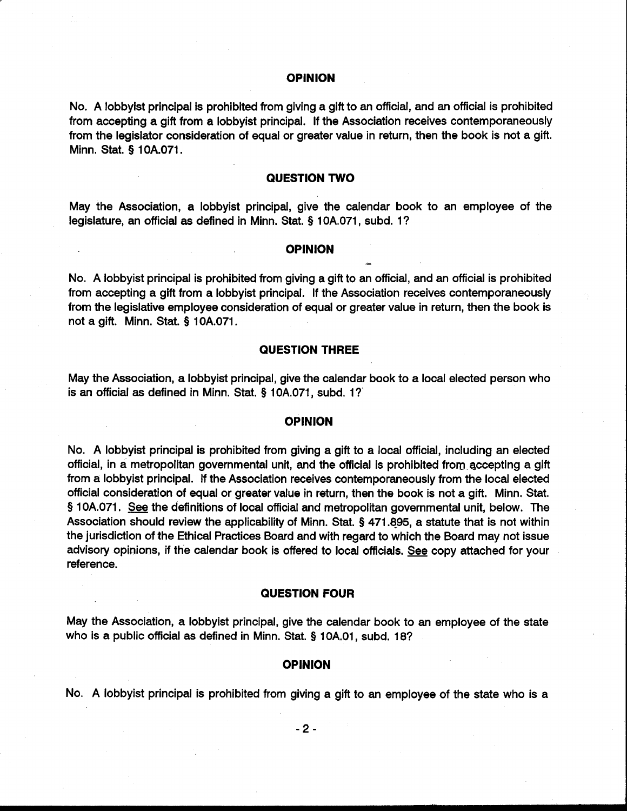### **OPINION**

No. A lobbyist principal is prohibited from giving a gift to an official, and an official is prohibited from accepting a gift from a lobbyist principal. If the Association receives contemporaneously from the legislator consideration of equal or greater value in return, then the book is not a gift. Minn. Stat. **9** 10A.071.

# **QUESTION TWO**

May the Association, a lobbyist principal, give the calendar book to an employee of the legislature, an official **as** defined in Minn. Stat. **Q** 10A.071, subd. I?

#### **OPINION** -

No. A lobbyist principal is prohibited from giving a gift to an official, and an official is prohibited from accepting a gift from a lobbyist principal. If the Association receives contemporaneously from the legislative employee consideration of equal or greater value in return, then the book is not a gift. Minn. Stat. **9** 10A.071.

# **QUESTION THREE**

May the Association, a lobbyist principal, give the calendar book to a local elected person who is an official as defined in Minn. Stat. **9** 10A.071, subd. I?'

#### **OPINION**

No. A lobbyist principal is prohibited from giving a gift to a local official, including an elected official, in a metropolitan governmental unit, and the official is prohibited from accepting a gift from a lobbyist principal. If the Association receives contemporaneously from the local elected official consideration of equal or greater value in return, then the book is not a gift. Minn. Stat. **<sup>9</sup>**10A.071. **See** the definitions of local official and metropolitan governmental unit, below. The Association should review the applicability of Minn. Stat. **Q** 471 **495,** a statute that is not within the jurisdiction of the Ethical Practices Board and with regard to which the Board may not issue advisory opinions, if the calendar book is offered to local officials. **See** copy attached for your reference.

# **QUESTION FOUR**

May the Association, a lobbyist principal, give the calendar book to an employee of the state who is a public official **as** defined in Minn. Stat. **Q** 10A.01, subd. 18?

#### **OPINION**

No. A lobbyist principal is prohibited from giving a gift to an employee of the state who is a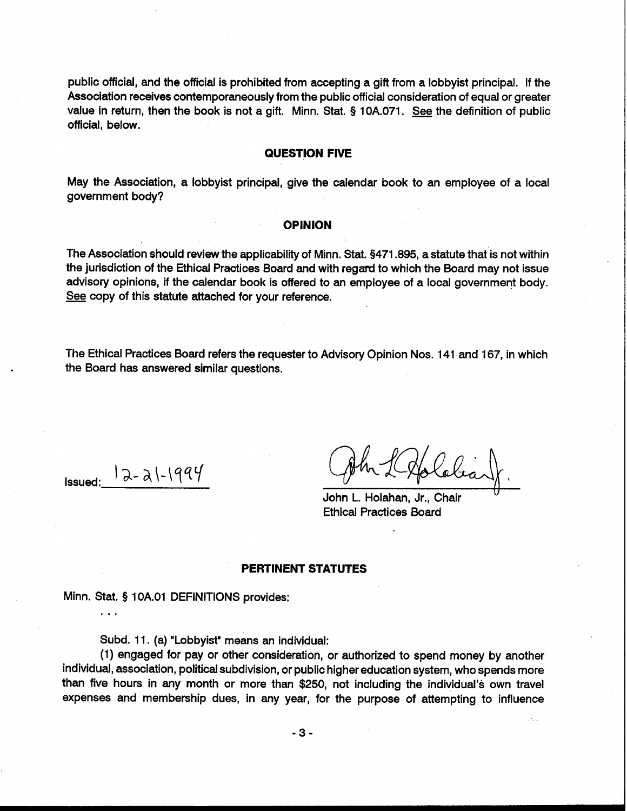public official, and the official is prohibited from accepting a gift from a lobbyist principal. If the Association receives contemporaneously from the public official consideration of equal or greater value in return, then the book is not a gift. Minn. Stat. § 10A.071. **See** the definition of public official, below.

# **QUESTION FIVE**

May the Association, a lobbyist principal, give the calendar book to an employee of a local government body?

#### **OPINION**

The Association should review the applicability of Minn. Stat. 3471.895, a statute that is not within the jurisdiction of the Ethical Practices Board and with regard to which the Board may not issue advisory opinions, if the calendar book is offered to an employee of a local government body. The Association should review the applicability of Minn<br>the jurisdiction of the Ethical Practices Board and with<br>advisory opinions, if the calendar book is offered to a<br><u>See</u> copy of this statute attached for your referenc

The Ethical Practices Board refers the requester to Advisory Opinion Nos. 141 and 167, in which the Board has answered similar questions.

Issued:  $|a-a|$ - $|qa\%$ 

...

John L. Holahan, Jr., Chair Ethical Practices Board

### **PERTINENT STATUTES**

Minn. Stat. § 1 OA.O1 DEFINITIONS provides:

Subd. 11. (a) "Lobbyist" means an individual:

(1) engaged for pay or other consideration, or authorized to spend money by another individual, association, political subdivision, or public higher education system, who spends more than five hours in any month or more than \$250, not including the individual's own travel expenses and membership dues, in any year, for the purpose of attempting to influence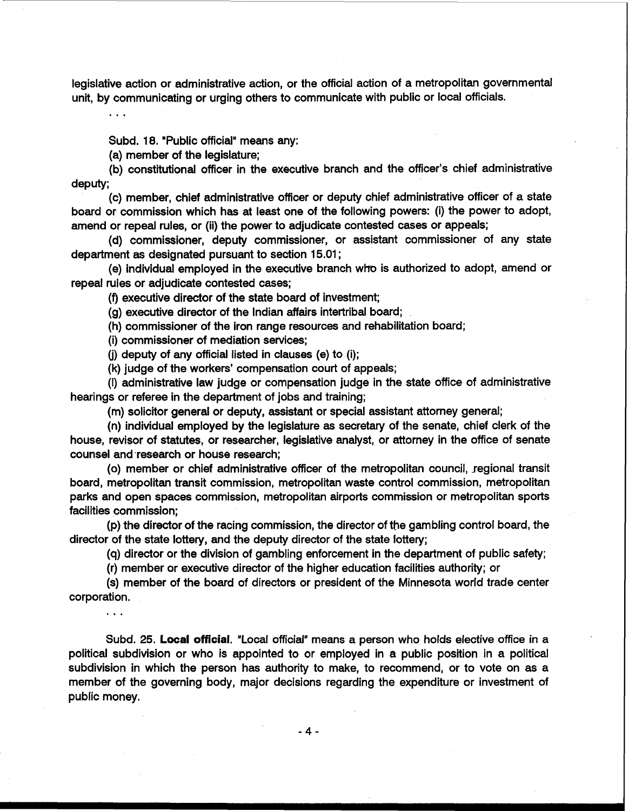legislative action or administrative action, or the official action of a metropolitan governmental unit, by communicating or urging others to communicate with public or local officials.

 $\ddotsc$ 

Subd. 18. *"Public official"* means any:

(a) member of the legislature;

(b) constitutional officer in the executive branch and the officer's chief administrative deputy;

(c) member, chief administrative officer or deputy chief administrative officer of a state board or commission which has at least one of the following powers: (i) the power to adopt, amend or repeal rules, or (ii) the power to adjudicate contested cases or appeals;

(d) commissioner, deputy commissioner, or assistant commissioner of any state department as designated pursuant to section 15.01 ;

(e) individual employed in the executive branch who is authorized to adopt, amend or repeal rules or adjudicate contested cases;

(9 executive director of the state board of investment;

(g) executive director of the Indian affairs intertribal board;

(h) commissioner of the iron range resources and rehabilitation board;

(i) commissioner of mediation services;

**(j)** deputy of any official listed in clauses (e) to (i);

(k) judge of the workers' compensation court of appeals;

(I) administrative law judge or compensation judge in the state office of administrative hearings or referee in the department of jobs and training;

(m) solicitor general or deputy, assistant or special assistant attorney general;

(n) individual employed by the legislature as secretary of the senate, chief clerk of the house, revisor of statutes, or researcher, legislative analyst, or attorney in the office of senate counsel and research or house research:

(0) member or chief administrative officer of the metropolitan council, regional transit board, metropolitan transit commission, metropolitan waste control commission, metropolitan parks and open spaces commission, metropolitan airports commission or metropolitan sports facilities commission;

(p) the director of the racing commission, the director of the gambling control board, the director of the state lottery, and the deputy director of the state lottery;

(q) director or the division of gambling enforcement in the department of public safety;

(r) member or executive director of the higher education facilities authority; or

(s) member of the board of directors or president of the Minnesota world trade center corporation.

. . .

Subd. 25. Local official. "Local official" means a person who holds elective office in a political subdivision or who is appointed to or employed in a public position in a political subdivision in which the person has authority to make, to recommend, or to vote on as a member of the governing body, major decisions regarding the expenditure or investment of public money.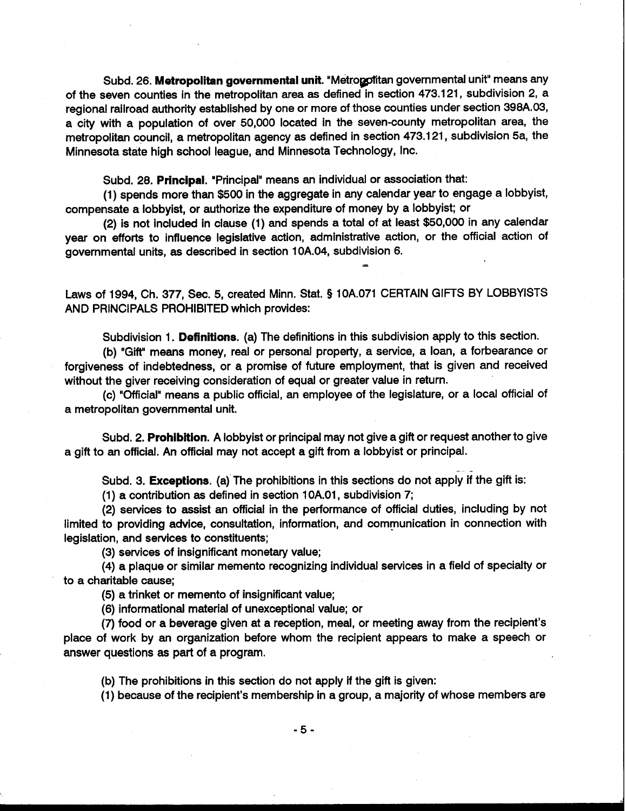Subd. 26. Metropolitan governmental unit. "Metropolitan governmental unit" means any of the seven counties in the metropolitan area as defined in section 473.121, subdivision 2, a regional railroad authority established by one or more of those counties under section 398A.03, a city with a population of over 50,000 located in the seven-county metropolitan area, the metropolitan council, a metropolitan agency as defined in section 473.121, subdivision 5a, the Minnesota state high school league, and Minnesota Technology, Inc.

Subd. 28. **Principal.** "Principal" means an individual or association that:

(1 ) spends more than \$500 in the aggregate in any calendar year to engage a lobbyist, compensate a lobbyist, or authorize the expenditure of money by a lobbyist; or

(2) is not included in clause (1) and spends a total of at least \$50,000 in any calendar year on efforts to influence legislative action, administrative action, or the official action of governmental units, as described in section 10A.04, subdivision 6.

Laws of 1994, Ch. 377, Sec. 5, created Minn. Stat. **5** 10A.071 CERTAIN GIFTS BY LOBBYISTS AND PRINCIPALS PROHIBITED which provides:

Subdivision 1. **Definitions.** (a) The definitions in this subdivision apply to this section.

(b) "Gift" means money, real or personal property, a service, a loan, a forbearance or forgiveness of indebtedness, or a promise of future employment, that is given and received without the giver receiving consideration of equal or greater value in return.

(c) "Official" means a public official, an employee of the legislature, or a local official of a metropolitan governmental unit.

Subd. 2. **Prohibition.** A lobbyist or principal may not give a gift or request another to give a gift to an official. An official may not accept a gift from a lobbyist or principal.

Subd. 3. **Exceptions.** (a) The prohibitions in this sections do not apply if the gift is:

(1) a contribution as defined in section 1 0A.01, subdivision 7;

(2) services to assist an official in the performance of official duties, including by not limited to providing advice, consultation, information, and communication in connection with legislation, and services to constituents;

(3) services of insignificant monetary value;

(4) a plaque or similar memento recognizing individual services in a field of specialty or to a charitable cause;

(5) a trinket or memento of insignificant value;

(6) informational material of unexceptional value; or

(7) food or a beverage given at a reception, meal, or meeting away from the recipient's place of work by an organization before whom the recipient appears to make a speech or answer questions as part of a program.

(b) The prohibitions in this section do not apply if the gift is given:

(1) because of the recipient's membership in a group, a majority of whose members are